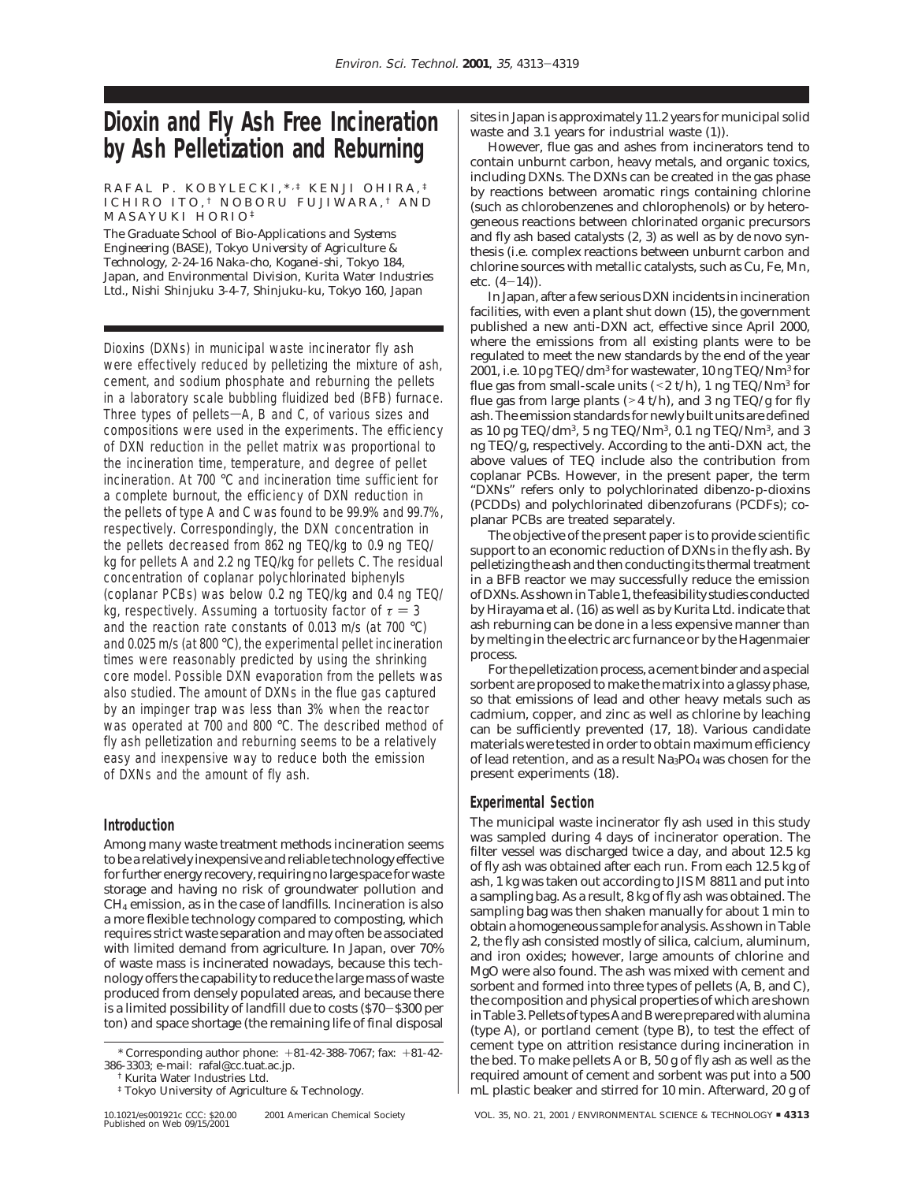# **Dioxin and Fly Ash Free Incineration by Ash Pelletization and Reburning**

#### RAFAL P. KOBYLECKI, \*, # KENJI OHIRA, # ICHIRO ITO, † NOBORU FUJIWARA, † AND MASAYUKI HORIO ‡

*The Graduate School of Bio-Applications and Systems Engineering (BASE), Tokyo University of Agriculture & Technology, 2-24-16 Naka-cho, Koganei-shi, Tokyo 184, Japan, and Environmental Division, Kurita Water Industries Ltd., Nishi Shinjuku 3-4-7, Shinjuku-ku, Tokyo 160, Japan*

Dioxins (DXNs) in municipal waste incinerator fly ash were effectively reduced by pelletizing the mixture of ash, cement, and sodium phosphate and reburning the pellets in a laboratory scale bubbling fluidized bed (BFB) furnace. Three types of pellets- $A$ , B and C, of various sizes and compositions were used in the experiments. The efficiency of DXN reduction in the pellet matrix was proportional to the incineration time, temperature, and degree of pellet incineration. At 700 °C and incineration time sufficient for a complete burnout, the efficiency of DXN reduction in the pellets of type A and C was found to be 99.9% and 99.7%, respectively. Correspondingly, the DXN concentration in the pellets decreased from 862 ng TEQ/kg to 0.9 ng TEQ/ kg for pellets A and 2.2 ng TEQ/kg for pellets C. The residual concentration of coplanar polychlorinated biphenyls (coplanar PCBs) was below 0.2 ng TEQ/kg and 0.4 ng TEQ/ kg, respectively. Assuming a tortuosity factor of  $\tau = 3$ and the reaction rate constants of 0.013 m/s (at 700 °C) and 0.025 m/s (at 800 °C), the experimental pellet incineration times were reasonably predicted by using the shrinking core model. Possible DXN evaporation from the pellets was also studied. The amount of DXNs in the flue gas captured by an impinger trap was less than 3% when the reactor was operated at 700 and 800 °C. The described method of fly ash pelletization and reburning seems to be a relatively easy and inexpensive way to reduce both the emission of DXNs and the amount of fly ash.

## **Introduction**

Among many waste treatment methods incineration seems to be a relatively inexpensive and reliable technology effective for further energy recovery, requiring no large space for waste storage and having no risk of groundwater pollution and CH4 emission, as in the case of landfills. Incineration is also a more flexible technology compared to composting, which requires strict waste separation and may often be associated with limited demand from agriculture. In Japan, over 70% of waste mass is incinerated nowadays, because this technology offers the capability to reduce the large mass of waste produced from densely populated areas, and because there is a limited possibility of landfill due to costs (\$70-\$300 per ton) and space shortage (the remaining life of final disposal

sites in Japan is approximately 11.2 years for municipal solid waste and 3.1 years for industrial waste (*1*)).

However, flue gas and ashes from incinerators tend to contain unburnt carbon, heavy metals, and organic toxics, including DXNs. The DXNs can be created in the gas phase by reactions between aromatic rings containing chlorine (such as chlorobenzenes and chlorophenols) or by heterogeneous reactions between chlorinated organic precursors and fly ash based catalysts (*2, 3*) as well as by *de novo* synthesis (i.e. complex reactions between unburnt carbon and chlorine sources with metallic catalysts, such as Cu, Fe, Mn, etc. (*4*-*14*)).

In Japan, after a few serious DXN incidents in incineration facilities, with even a plant shut down (*15*), the government published a new anti-DXN act, effective since April 2000, where the emissions from all existing plants were to be regulated to meet the new standards by the end of the year 2001, i.e. 10 pg TEQ/dm3 for wastewater, 10 ng TEQ/Nm3 for flue gas from small-scale units  $(< 2 t/h)$ , 1 ng TEQ/Nm<sup>3</sup> for flue gas from large plants ( $>4$  t/h), and 3 ng TEQ/g for fly ash. The emission standards for newly built units are defined as 10 pg TEQ/dm<sup>3</sup>, 5 ng TEQ/Nm<sup>3</sup>, 0.1 ng TEQ/Nm<sup>3</sup>, and 3 ng TEQ/g, respectively. According to the anti-DXN act, the above values of TEQ include also the contribution from coplanar PCBs. However, in the present paper, the term "DXNs" refers only to polychlorinated dibenzo-p-dioxins (PCDDs) and polychlorinated dibenzofurans (PCDFs); coplanar PCBs are treated separately.

The objective of the present paper is to provide scientific support to an economic reduction of DXNs in the fly ash. By pelletizing the ash and then conducting its thermal treatment in a BFB reactor we may successfully reduce the emission of DXNs. As shown in Table 1, the feasibility studies conducted by Hirayama et al. (*16*) as well as by Kurita Ltd. indicate that ash reburning can be done in a less expensive manner than by melting in the electric arc furnance or by the Hagenmaier process.

For the pelletization process, a cement binder and a special sorbent are proposed to make the matrix into a glassy phase, so that emissions of lead and other heavy metals such as cadmium, copper, and zinc as well as chlorine by leaching can be sufficiently prevented (*17, 18*). Various candidate materials were tested in order to obtain maximum efficiency of lead retention, and as a result  $Na<sub>3</sub>PO<sub>4</sub>$  was chosen for the present experiments (*18*).

## **Experimental Section**

The municipal waste incinerator fly ash used in this study was sampled during 4 days of incinerator operation. The filter vessel was discharged twice a day, and about 12.5 kg of fly ash was obtained after each run. From each 12.5 kg of ash, 1 kg was taken out according to JIS M 8811 and put into a sampling bag. As a result, 8 kg of fly ash was obtained. The sampling bag was then shaken manually for about 1 min to obtain a homogeneous sample for analysis. As shown in Table 2, the fly ash consisted mostly of silica, calcium, aluminum, and iron oxides; however, large amounts of chlorine and MgO were also found. The ash was mixed with cement and sorbent and formed into three types of pellets (A, B, and C), the composition and physical properties of which are shown in Table 3. Pellets of types A and B were prepared with alumina (type A), or portland cement (type B), to test the effect of cement type on attrition resistance during incineration in the bed. To make pellets A or B, 50 g of fly ash as well as the required amount of cement and sorbent was put into a 500 mL plastic beaker and stirred for 10 min. Afterward, 20 g of

10.1021/es001921c CCC: \$20.00 2001 American Chemical Society VOL. 35, NO. 21, 2001 / ENVIRONMENTAL SCIENCE & TECHNOLOGY <sup>9</sup> **4313**

<sup>\*</sup> Corresponding author phone: +81-42-388-7067; fax: +81-42- 386-3303; e-mail: rafal@cc.tuat.ac.jp.

<sup>†</sup> Kurita Water Industries Ltd.

<sup>‡</sup> Tokyo University of Agriculture & Technology.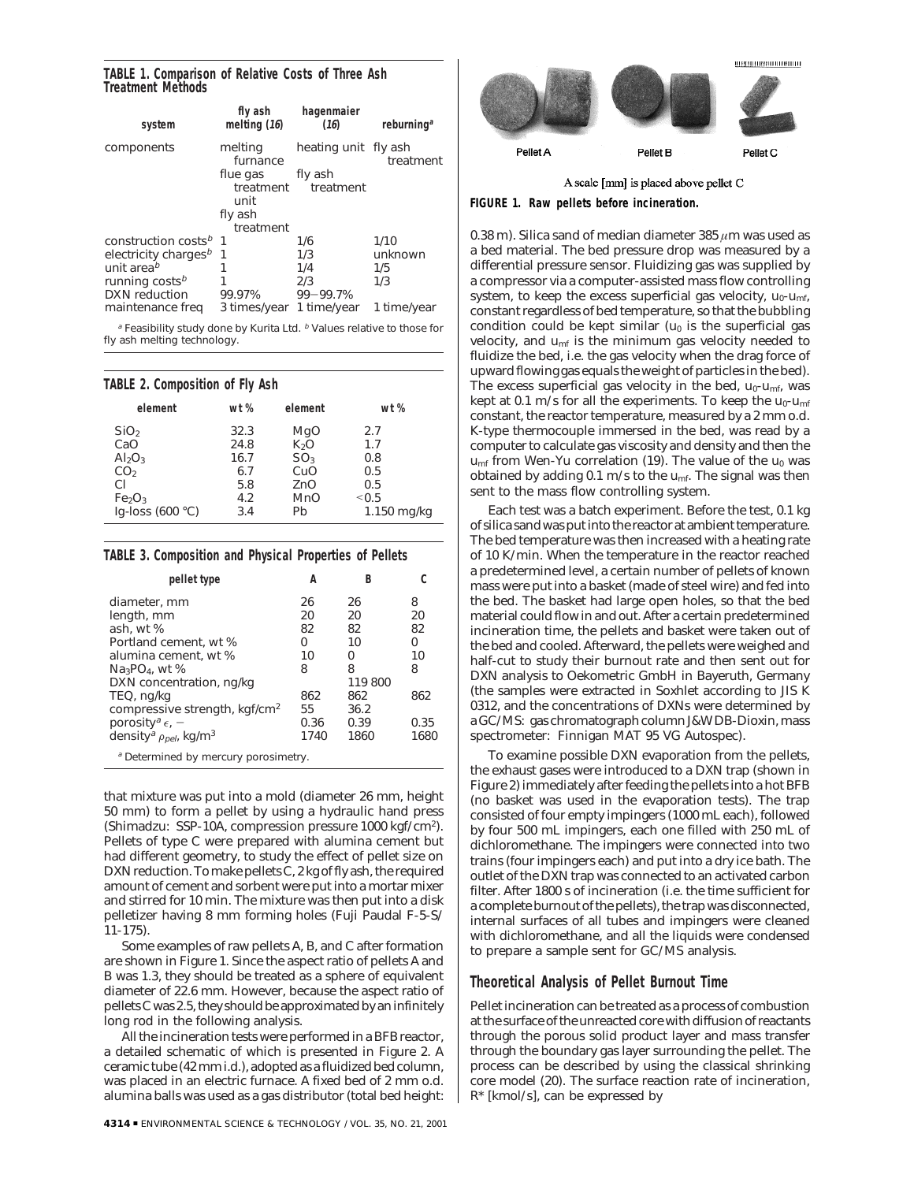### **TABLE 1. Comparison of Relative Costs of Three Ash Treatment Methods**

| system                            | fly ash<br>melting $(16)$     | hagenmaier<br>(16)   | reburning <sup>a</sup> |
|-----------------------------------|-------------------------------|----------------------|------------------------|
| components                        | melting<br>furnance           | heating unit fly ash | treatment              |
|                                   | flue gas<br>treatment<br>unit | fly ash<br>treatment |                        |
|                                   | fly ash<br>treatment          |                      |                        |
| construction costs <sup>b</sup> 1 |                               | 1/6                  | 1/10                   |
| electricity charges <sup>b</sup>  | 1                             | 1/3                  | unknown                |
| unit area <sup>b</sup>            | 1                             | 1/4                  | 1/5                    |
| running costs <sup>b</sup>        | 1                             | 2/3                  | 1/3                    |
| DXN reduction                     | 99.97%                        | 99-99.7%             |                        |
| maintenance freq                  | 3 times/year                  | 1 time/year          | 1 time/year            |

<sup>a</sup> Feasibility study done by Kurita Ltd. <sup>b</sup> Values relative to those for fly ash melting technology.

## **TABLE 2. Composition of Fly Ash**

| element                        | wt % | element          | wt %        |
|--------------------------------|------|------------------|-------------|
| SiO <sub>2</sub>               | 32.3 | MgO              | 2.7         |
| CaO                            | 24.8 | K <sub>2</sub> O | 1.7         |
| Al <sub>2</sub> O <sub>3</sub> | 16.7 | SO <sub>3</sub>  | 0.8         |
| CO <sub>2</sub>                | 6.7  | CuO              | 0.5         |
| СI                             | 5.8  | ZnO              | 0.5         |
| Fe <sub>2</sub> O <sub>3</sub> | 4.2  | <b>MnO</b>       | < 0.5       |
| Iq-loss $(600 °C)$             | 3.4  | Pb               | 1.150 mg/kg |
|                                |      |                  |             |

## **TABLE 3. Composition and Physical Properties of Pellets**

| pellet type                                           | А    | B       |      |
|-------------------------------------------------------|------|---------|------|
| diameter, mm                                          | 26   | 26      | 8    |
| length, mm                                            | 20   | 20      | 20   |
| ash, wt %                                             | 82   | 82      | 82   |
| Portland cement, wt %                                 | Ω    | 10      | 0    |
| alumina cement, wt %                                  | 10   | ი       | 10   |
| $Na3PO4$ , wt %                                       | 8    | 8       | 8    |
| DXN concentration, ng/kg                              |      | 119 800 |      |
| TEQ, ng/kg                                            | 862  | 862     | 862  |
| compressive strength, kgf/cm <sup>2</sup>             | 55   | 36.2    |      |
| porosity <sup>a</sup> $\epsilon$ , $-$                | 0.36 | 0.39    | 0.35 |
| density <sup>a</sup> $\rho_{pel}$ , kg/m <sup>3</sup> | 1740 | 1860    | 1680 |
| a Determined by moreuni perspimetry                   |      |         |      |

Determined by mercury porosimetry.

that mixture was put into a mold (diameter 26 mm, height 50 mm) to form a pellet by using a hydraulic hand press (Shimadzu: SSP-10A, compression pressure 1000 kgf/cm2). Pellets of type C were prepared with alumina cement but had different geometry, to study the effect of pellet size on DXN reduction. To make pellets C, 2 kg of fly ash, the required amount of cement and sorbent were put into a mortar mixer and stirred for 10 min. The mixture was then put into a disk pelletizer having 8 mm forming holes (Fuji Paudal F-5-S/ 11-175).

Some examples of raw pellets A, B, and C after formation are shown in Figure 1. Since the aspect ratio of pellets A and B was 1.3, they should be treated as a sphere of equivalent diameter of 22.6 mm. However, because the aspect ratio of pellets C was 2.5, they should be approximated by an infinitely long rod in the following analysis.

All the incineration tests were performed in a BFB reactor, a detailed schematic of which is presented in Figure 2. A ceramic tube (42 mm i.d.), adopted as a fluidized bed column, was placed in an electric furnace. A fixed bed of 2 mm o.d. alumina balls was used as a gas distributor (total bed height:



A scale [mm] is placed above pellet C

#### **FIGURE 1. Raw pellets before incineration.**

0.38 m). Silica sand of median diameter 385 *µ*m was used as a bed material. The bed pressure drop was measured by a differential pressure sensor. Fluidizing gas was supplied by a compressor via a computer-assisted mass flow controlling system, to keep the excess superficial gas velocity,  $u_0$ - $u_{\text{mf}}$ , constant regardless of bed temperature, so that the bubbling condition could be kept similar  $(u_0)$  is the superficial gas velocity, and *umf* is the minimum gas velocity needed to fluidize the bed, i.e. the gas velocity when the drag force of upward flowing gas equals the weight of particles in the bed). The excess superficial gas velocity in the bed,  $u_0$ - $u_{\text{mf}}$ , was kept at 0.1 m/s for all the experiments. To keep the *u0-umf* constant, the reactor temperature, measured by a 2 mm o.d. K-type thermocouple immersed in the bed, was read by a computer to calculate gas viscosity and density and then the  $u_{\text{mf}}$  from Wen-Yu correlation (19). The value of the  $u_0$  was obtained by adding 0.1 m/s to the *umf*. The signal was then sent to the mass flow controlling system.

Each test was a batch experiment. Before the test, 0.1 kg of silica sand was put into the reactor at ambient temperature. The bed temperature was then increased with a heating rate of 10 K/min. When the temperature in the reactor reached a predetermined level, a certain number of pellets of known mass were put into a basket (made of steel wire) and fed into the bed. The basket had large open holes, so that the bed material could flow in and out. After a certain predetermined incineration time, the pellets and basket were taken out of the bed and cooled. Afterward, the pellets were weighed and half-cut to study their burnout rate and then sent out for DXN analysis to Oekometric GmbH in Bayeruth, Germany (the samples were extracted in Soxhlet according to JIS K 0312, and the concentrations of DXNs were determined by a GC/MS: gas chromatograph column J&W DB-Dioxin, mass spectrometer: Finnigan MAT 95 VG Autospec).

To examine possible DXN evaporation from the pellets, the exhaust gases were introduced to a DXN trap (shown in Figure 2) immediately after feeding the pellets into a hot BFB (no basket was used in the evaporation tests). The trap consisted of four empty impingers (1000 mL each), followed by four 500 mL impingers, each one filled with 250 mL of dichloromethane. The impingers were connected into two trains (four impingers each) and put into a dry ice bath. The outlet of the DXN trap was connected to an activated carbon filter. After 1800 s of incineration (i.e. the time sufficient for a complete burnout of the pellets), the trap was disconnected, internal surfaces of all tubes and impingers were cleaned with dichloromethane, and all the liquids were condensed to prepare a sample sent for GC/MS analysis.

## **Theoretical Analysis of Pellet Burnout Time**

Pellet incineration can be treated as a process of combustion at the surface of the unreacted core with diffusion of reactants through the porous solid product layer and mass transfer through the boundary gas layer surrounding the pellet. The process can be described by using the classical shrinking core model (*20*). The surface reaction rate of incineration, *R\** [kmol/s], can be expressed by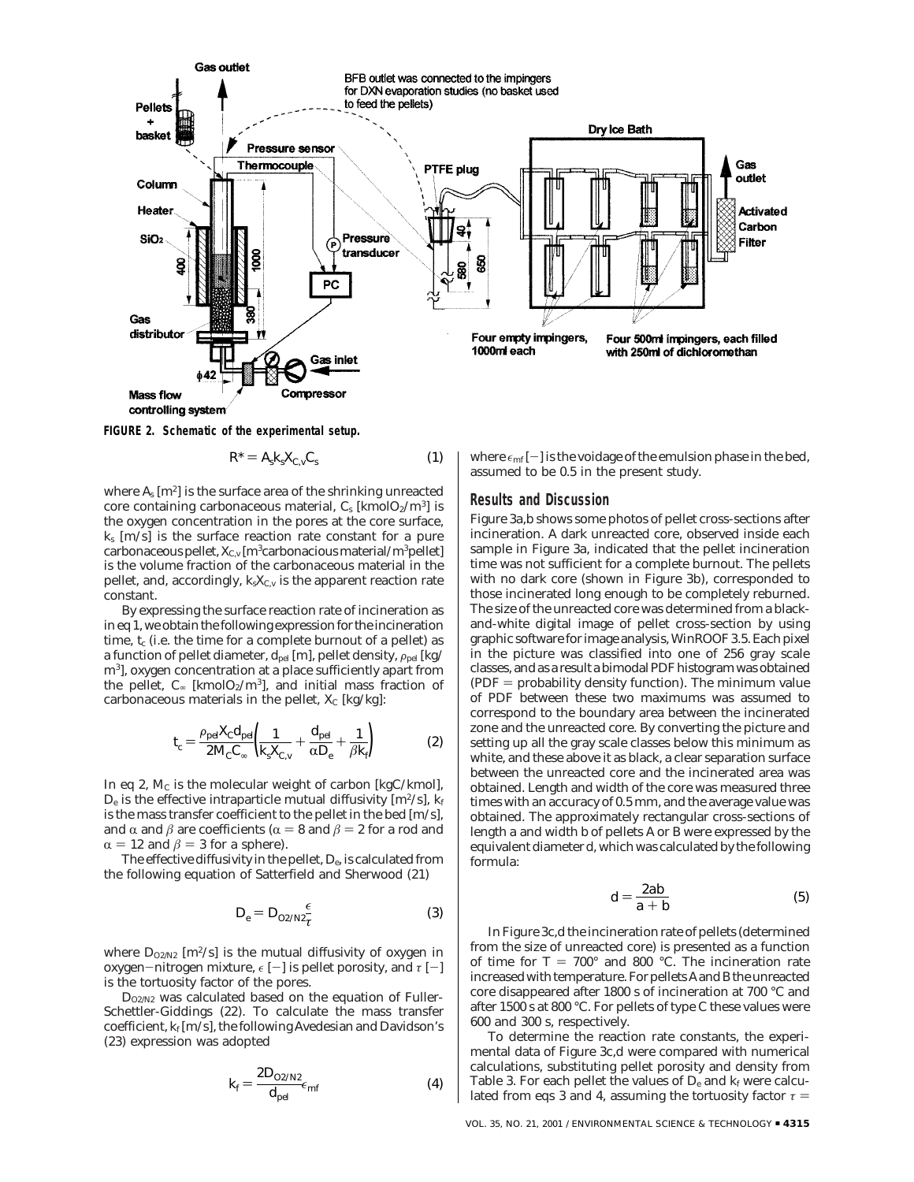

controlling system

**FIGURE 2. Schematic of the experimental setup.**

$$
R^* = A_s k_s X_{C,v} C_s \tag{1}
$$

where *As* [m2] is the surface area of the shrinking unreacted core containing carbonaceous material,  $C_s$  [kmol $O_2/m^3$ ] is the oxygen concentration in the pores at the core surface,  $k_s$  [m/s] is the surface reaction rate constant for a pure carbonaceous pellet,  $X_{C,v}$  [m<sup>3</sup>carbonacious material/m<sup>3</sup>pellet] is the volume fraction of the carbonaceous material in the pellet, and, accordingly, *ksXC,v* is the apparent reaction rate constant.

By expressing the surface reaction rate of incineration as in eq 1, we obtain the following expression for the incineration time,  $t_c$  (i.e. the time for a complete burnout of a pellet) as a function of pellet diameter,  $d_{pel}$  [m], pellet density,  $\rho_{pel}$  [kg/ m3], oxygen concentration at a place sufficiently apart from the pellet,  $C_{\infty}$  [kmol $O_2/m^3$ ], and initial mass fraction of carbonaceous materials in the pellet,  $X_C$  [kg/kg]:

$$
t_c = \frac{\rho_{\text{pe}} X_c d_{\text{pe}}}{2M_c C_{\infty}} \left( \frac{1}{k_s X_{C,v}} + \frac{d_{\text{pe}}}{\alpha D_e} + \frac{1}{\beta k_f} \right) \tag{2}
$$

In eq 2,  $M_c$  is the molecular weight of carbon [kgC/kmol],  $D_e$  is the effective intraparticle mutual diffusivity  $[m^2/s]$ ,  $k_f$ is the mass transfer coefficient to the pellet in the bed [m/s], and  $\alpha$  and  $\beta$  are coefficients ( $\alpha = 8$  and  $\beta = 2$  for a rod and  $\alpha = 12$  and  $\beta = 3$  for a sphere).

The effective diffusivity in the pellet, *De*, is calculated from the following equation of Satterfield and Sherwood (*21*)

$$
D_e = D_{O2/N2} \frac{\epsilon}{\tau} \tag{3}
$$

where  $D_{02/N2}$  [m<sup>2</sup>/s] is the mutual diffusivity of oxygen in oxygen-nitrogen mixture,  $\epsilon$  [-] is pellet porosity, and  $\tau$  [-] is the tortuosity factor of the pores.

*DO2/N2* was calculated based on the equation of Fuller-Schettler-Giddings (*22*). To calculate the mass transfer coefficient, *kf* [m/s], the following Avedesian and Davidson's (*23*) expression was adopted

$$
k_f = \frac{2D_{O2/N2}}{d_{pel}} \epsilon_{mf} \tag{4}
$$

where  $\epsilon_{\text{mf}}[-]$  is the voidage of the emulsion phase in the bed, assumed to be 0.5 in the present study.

#### **Results and Discussion**

Figure 3a,b shows some photos of pellet cross-sections after incineration. A dark unreacted core, observed inside each sample in Figure 3a, indicated that the pellet incineration time was not sufficient for a complete burnout. The pellets with no dark core (shown in Figure 3b), corresponded to those incinerated long enough to be completely reburned. The size of the unreacted core was determined from a blackand-white digital image of pellet cross-section by using graphic software for image analysis,*WinROOF 3.5*. Each pixel in the picture was classified into one of 256 gray scale classes, and as a result a bimodal PDF histogram was obtained  $(PDF = probability density function)$ . The minimum value of PDF between these two maximums was assumed to correspond to the boundary area between the incinerated zone and the unreacted core. By converting the picture and setting up all the gray scale classes below this minimum as white, and these above it as black, a clear separation surface between the unreacted core and the incinerated area was obtained. Length and width of the core was measured three times with an accuracy of 0.5 mm, and the average value was obtained. The approximately rectangular cross-sections of length *a* and width *b* of pellets A or B were expressed by the equivalent diameter *d*, which was calculated by the following formula:

$$
d = \frac{2ab}{a+b} \tag{5}
$$

In Figure 3c,d the incineration rate of pellets (determined from the size of unreacted core) is presented as a function of time for  $T = 700^{\circ}$  and 800 °C. The incineration rate increased with temperature. For pellets A and B the unreacted core disappeared after 1800 s of incineration at 700 °C and after 1500 s at 800 °C. For pellets of type C these values were 600 and 300 s, respectively.

To determine the reaction rate constants, the experimental data of Figure 3c,d were compared with numerical calculations, substituting pellet porosity and density from Table 3. For each pellet the values of  $D_e$  and  $k_f$  were calculated from eqs 3 and 4, assuming the tortuosity factor  $\tau$  =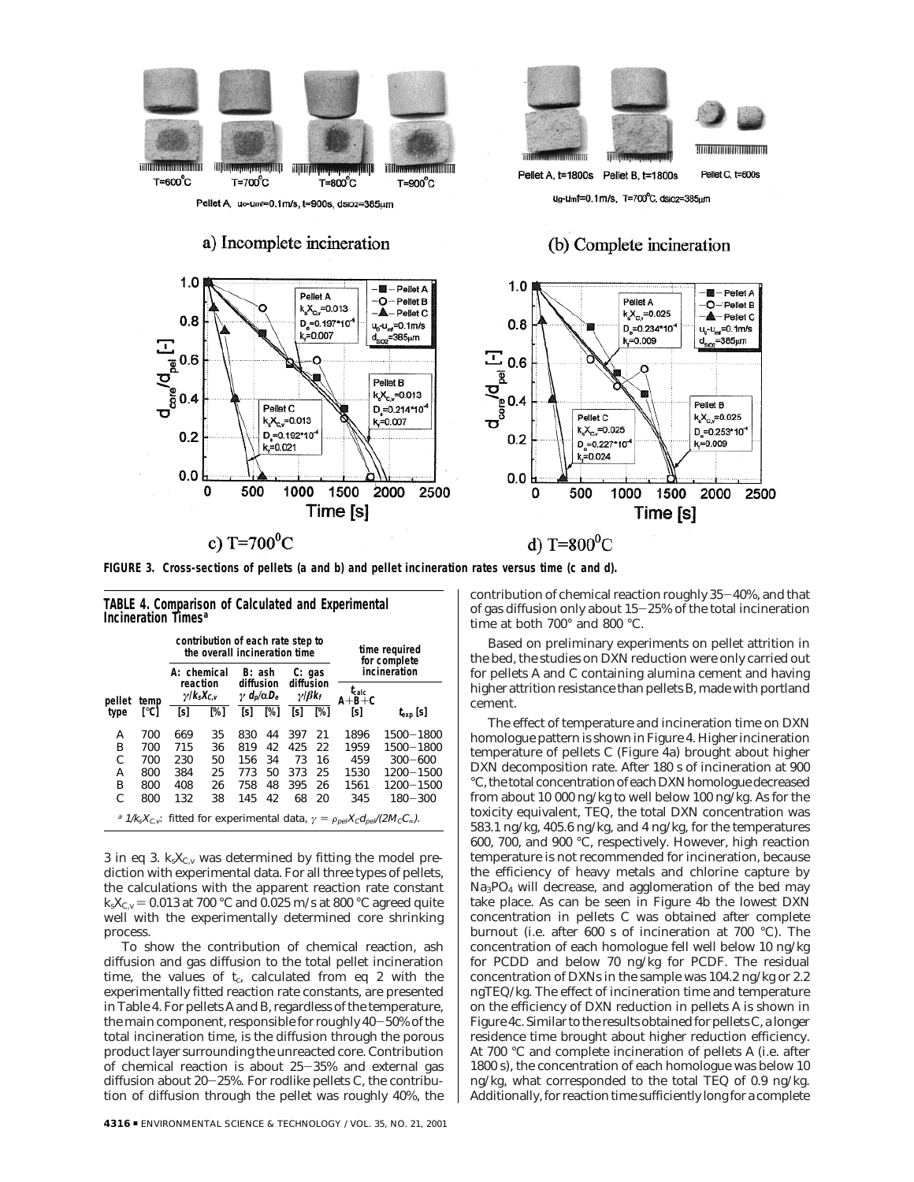

Pellet A, uo-umf=0.1m/s, t=900s, dsioz=385um

a) Incomplete incineration

## **Hondamontoniana** Pellet A, t=1800s Pellet C, t=600s Pellet B, t=1800s ua-umf=0.1m/s. T=700°C. dsioz=385um

## (b) Complete incineration



**FIGURE 3. Cross-sections of pellets (a and b) and pellet incineration rates versus time (c and d).**

|                                                                                                                               |      | contribution of each rate step to<br>the overall incineration time |     |                                                |     |                                                          |     | time required<br>for complete                 |                   |  |
|-------------------------------------------------------------------------------------------------------------------------------|------|--------------------------------------------------------------------|-----|------------------------------------------------|-----|----------------------------------------------------------|-----|-----------------------------------------------|-------------------|--|
| pellet<br>temp                                                                                                                |      | A: chemical<br>reaction<br>$\gamma$ /ks $X_{C,v}$                  |     | B: ash<br>diffusion<br>$\gamma d_p/\alpha D_e$ |     | C: gas<br>diffusion<br>$\gamma$ I $\beta$ k <sub>f</sub> |     | incineration<br>$t_{\rm calc}$<br>$A + B + C$ |                   |  |
| type                                                                                                                          | r°C1 | [s]                                                                | [%] | [s]                                            | [%] | [s]                                                      | [%] | [s]                                           | $t_{\rm exp}$ [S] |  |
| А                                                                                                                             | 700  | 669                                                                | 35  | 830                                            | 44  | 397                                                      | 21  | 1896                                          | 1500-1800         |  |
| в                                                                                                                             | 700  | 715                                                                | 36  | 819                                            | 42  | 425                                                      | 22  | 1959                                          | 1500-1800         |  |
| C                                                                                                                             | 700  | 230                                                                | 50  | 156                                            | 34  | 73                                                       | 16  | 459                                           | $300 - 600$       |  |
| А                                                                                                                             | 800  | 384                                                                | 25  | 773                                            | 50  | 373                                                      | 25  | 1530                                          | 1200-1500         |  |
| В                                                                                                                             | 800  | 408                                                                | 26  | 758                                            | 48  | 395                                                      | 26  | 1561                                          | 1200-1500         |  |
| C                                                                                                                             | 800  | 132                                                                | 38  | 145                                            | 42  | 68                                                       | 20  | 345                                           | $180 - 300$       |  |
| <sup>a</sup> $1/k_sX_{c,v}$ : fitted for experimental data, $\gamma = \rho_{\text{pel}}X_c d_{\text{pel}}/(2M_cC_{\infty})$ . |      |                                                                    |     |                                                |     |                                                          |     |                                               |                   |  |

**TABLE 4. Comparison of Calculated and Experimental**

**Incineration Times***<sup>a</sup>*

3 in eq 3.  $k_sX_{C,v}$  was determined by fitting the model prediction with experimental data. For all three types of pellets, the calculations with the apparent reaction rate constant  $k_s X_{C_v} = 0.013$  at 700 °C and 0.025 m/s at 800 °C agreed quite well with the experimentally determined core shrinking process.

To show the contribution of chemical reaction, ash diffusion and gas diffusion to the total pellet incineration time, the values of  $t_c$ , calculated from eq 2 with the experimentally fitted reaction rate constants, are presented in Table 4. For pellets A and B, regardless of the temperature, the main component, responsible for roughly 40-50% of the total incineration time, is the diffusion through the porous product layer surrounding the unreacted core. Contribution of chemical reaction is about 25-35% and external gas diffusion about 20-25%. For rodlike pellets C, the contribution of diffusion through the pellet was roughly 40%, the contribution of chemical reaction roughly 35-40%, and that of gas diffusion only about 15-25% of the total incineration time at both 700° and 800 °C.

Based on preliminary experiments on pellet attrition in the bed, the studies on DXN reduction were only carried out for pellets A and C containing alumina cement and having higher attrition resistance than pellets B, made with portland cement.

The effect of temperature and incineration time on DXN homologue pattern is shown in Figure 4. Higher incineration temperature of pellets C (Figure 4a) brought about higher DXN decomposition rate. After 180 s of incineration at 900 °C, the total concentration of each DXN homologue decreased from about 10 000 ng/kg to well below 100 ng/kg. As for the toxicity equivalent, TEQ, the total DXN concentration was 583.1 ng/kg, 405.6 ng/kg, and 4 ng/kg, for the temperatures 600, 700, and 900 °C, respectively. However, high reaction temperature is not recommended for incineration, because the efficiency of heavy metals and chlorine capture by Na3PO4 will decrease, and agglomeration of the bed may take place. As can be seen in Figure 4b the lowest DXN concentration in pellets C was obtained after complete burnout (i.e. after 600 s of incineration at 700 °C). The concentration of each homologue fell well below 10 ng/kg for PCDD and below 70 ng/kg for PCDF. The residual concentration of DXNs in the sample was 104.2 ng/kg or 2.2 ngTEQ/kg. The effect of incineration time and temperature on the efficiency of DXN reduction in pellets A is shown in Figure 4c. Similar to the results obtained for pellets C, a longer residence time brought about higher reduction efficiency. At 700 °C and complete incineration of pellets A (i.e. after 1800 s), the concentration of each homologue was below 10 ng/kg, what corresponded to the total TEQ of 0.9 ng/kg. Additionally, for reaction time sufficiently long for a complete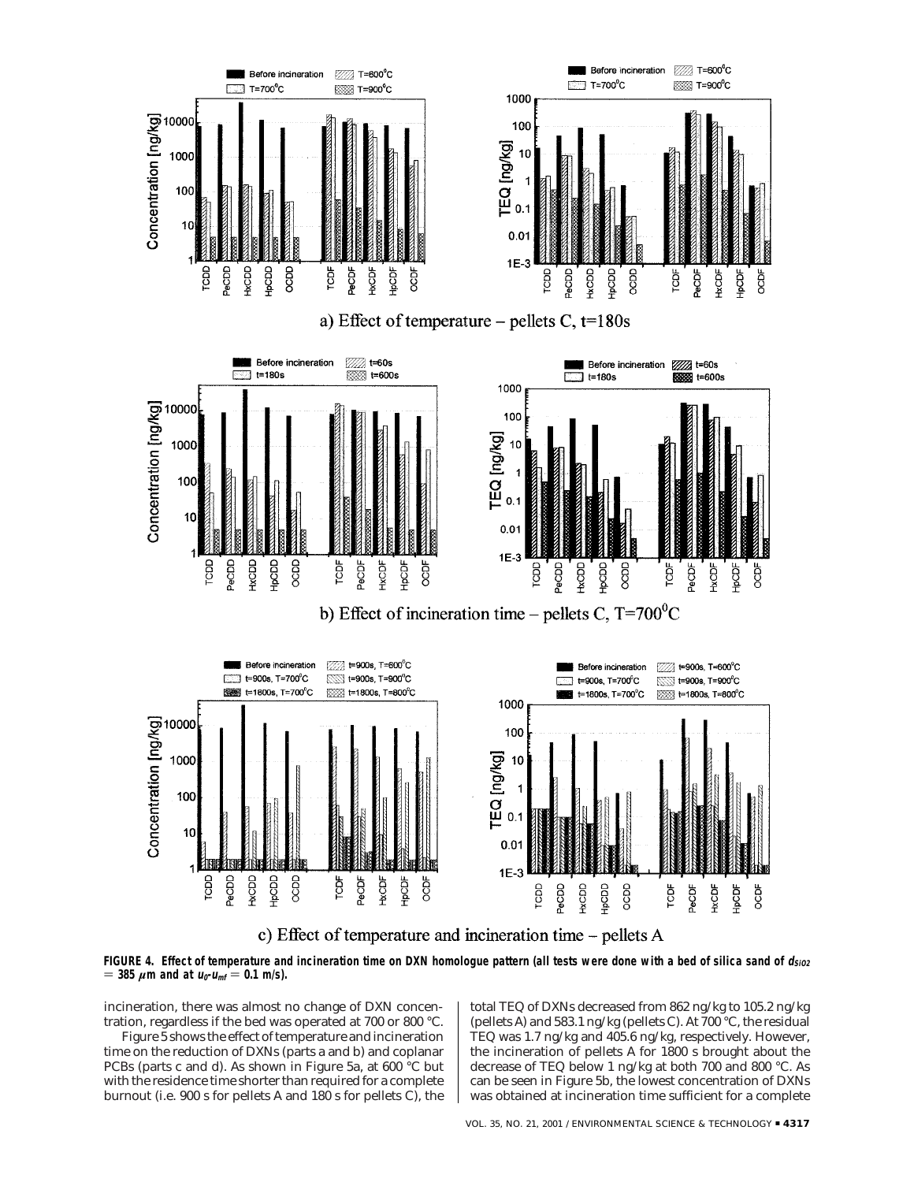

c) Effect of temperature and incineration time – pellets A

FIGURE 4. Effect of temperature and incineration time on DXN homologue pattern (all tests were done with a bed of silica sand of  $d_{SiO2}$  $=$  385  $\mu$ m and at  $u_0$ - $u_{\text{mf}} = 0.1$  m/s).

incineration, there was almost no change of DXN concentration, regardless if the bed was operated at 700 or 800 °C.

Figure 5 shows the effect of temperature and incineration time on the reduction of DXNs (parts a and b) and coplanar PCBs (parts c and d). As shown in Figure 5a, at 600 °C but with the residence time shorter than required for a complete burnout (i.e. 900 s for pellets A and 180 s for pellets C), the

total TEQ of DXNs decreased from 862 ng/kg to 105.2 ng/kg (pellets A) and 583.1 ng/kg (pellets C). At 700 °C, the residual TEQ was 1.7 ng/kg and 405.6 ng/kg, respectively. However, the incineration of pellets A for 1800 s brought about the decrease of TEQ below 1 ng/kg at both 700 and 800 °C. As can be seen in Figure 5b, the lowest concentration of DXNs was obtained at incineration time sufficient for a complete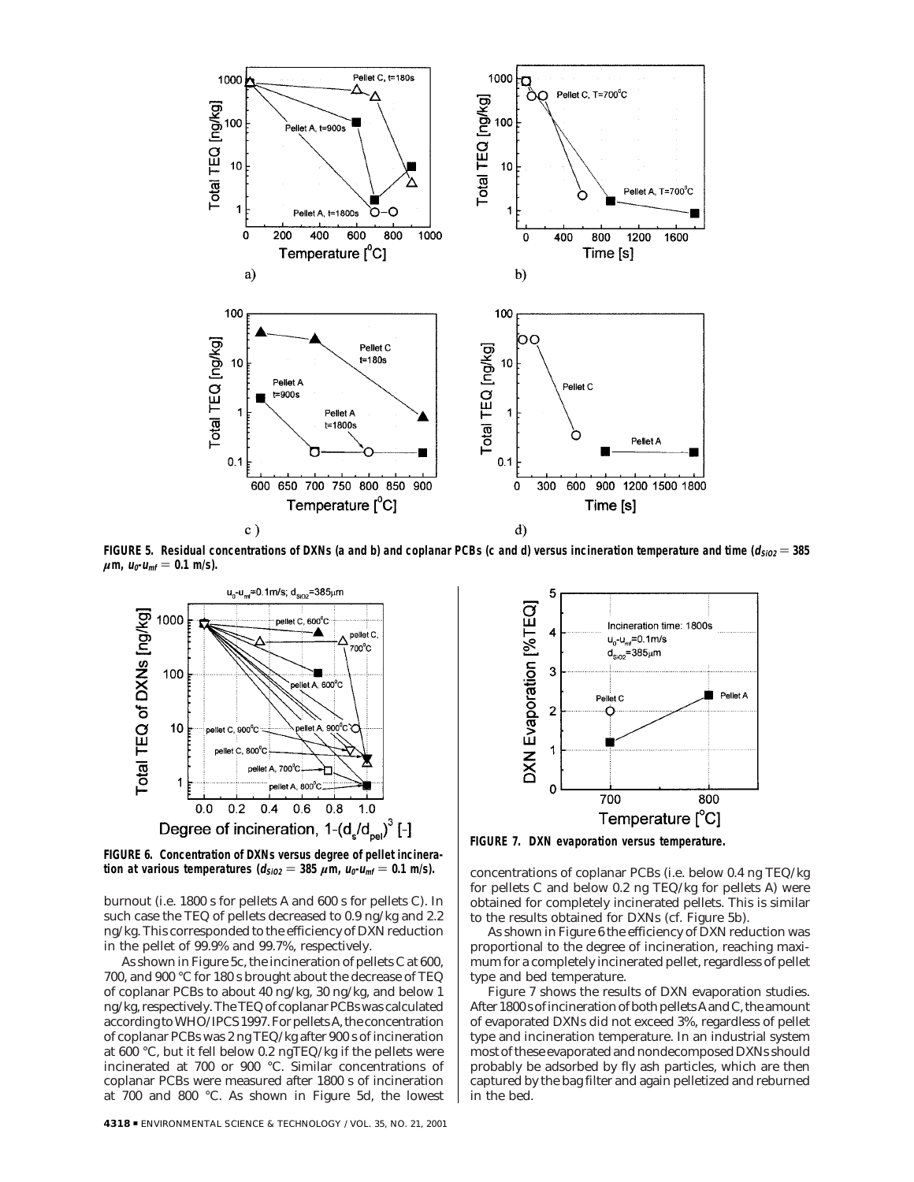

FIGURE 5. Residual concentrations of DXNs (a and b) and coplanar PCBs (c and d) versus incineration temperature and time  $(d_{SIO2} = 385$  $\mu$ m,  $u_0$ - $u_{\text{mf}} = 0.1$  m/s).



**FIGURE 6. Concentration of DXNs versus degree of pellet incineration at various temperatures (** $d_{SiO2} = 385 \mu m$ **,**  $u_0 - u_{mf} = 0.1 \text{ m/s}$ **).** 

burnout (i.e. 1800 s for pellets A and 600 s for pellets C). In such case the TEQ of pellets decreased to 0.9 ng/kg and 2.2 ng/kg. This corresponded to the efficiency of DXN reduction in the pellet of 99.9% and 99.7%, respectively.

As shown in Figure 5c, the incineration of pellets C at 600, 700, and 900 °C for 180 s brought about the decrease of TEQ of coplanar PCBs to about 40 ng/kg, 30 ng/kg, and below 1 ng/kg, respectively. The TEQ of coplanar PCBs was calculated according to WHO/IPCS 1997. For pellets A, the concentration of coplanar PCBs was 2 ng TEQ/kg after 900 s of incineration at 600 °C, but it fell below 0.2 ngTEQ/kg if the pellets were incinerated at 700 or 900 °C. Similar concentrations of coplanar PCBs were measured after 1800 s of incineration at 700 and 800 °C. As shown in Figure 5d, the lowest



**FIGURE 7. DXN evaporation versus temperature.**

concentrations of coplanar PCBs (i.e. below 0.4 ng TEQ/kg for pellets C and below 0.2 ng TEQ/kg for pellets A) were obtained for completely incinerated pellets. This is similar to the results obtained for DXNs (cf. Figure 5b).

As shown in Figure 6 the efficiency of DXN reduction was proportional to the degree of incineration, reaching maximum for a completely incinerated pellet, regardless of pellet type and bed temperature.

Figure 7 shows the results of DXN evaporation studies. After 1800 s of incineration of both pellets A and C, the amount of evaporated DXNs did not exceed 3%, regardless of pellet type and incineration temperature. In an industrial system most of these evaporated and nondecomposed DXNs should probably be adsorbed by fly ash particles, which are then captured by the bag filter and again pelletized and reburned in the bed.